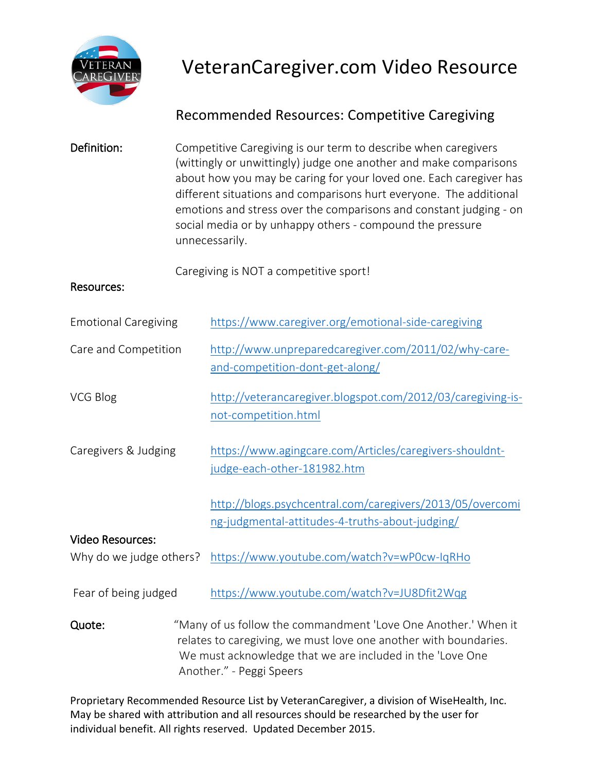

## VeteranCaregiver.com Video Resource

## Recommended Resources: Competitive Caregiving

| Definition:                                        | Competitive Caregiving is our term to describe when caregivers<br>(wittingly or unwittingly) judge one another and make comparisons<br>about how you may be caring for your loved one. Each caregiver has<br>different situations and comparisons hurt everyone. The additional<br>emotions and stress over the comparisons and constant judging - on<br>social media or by unhappy others - compound the pressure<br>unnecessarily. |                                                                                                              |
|----------------------------------------------------|--------------------------------------------------------------------------------------------------------------------------------------------------------------------------------------------------------------------------------------------------------------------------------------------------------------------------------------------------------------------------------------------------------------------------------------|--------------------------------------------------------------------------------------------------------------|
| <b>Resources:</b>                                  |                                                                                                                                                                                                                                                                                                                                                                                                                                      | Caregiving is NOT a competitive sport!                                                                       |
| <b>Emotional Caregiving</b>                        |                                                                                                                                                                                                                                                                                                                                                                                                                                      | https://www.caregiver.org/emotional-side-caregiving                                                          |
| Care and Competition                               |                                                                                                                                                                                                                                                                                                                                                                                                                                      | http://www.unpreparedcaregiver.com/2011/02/why-care-<br>and-competition-dont-get-along/                      |
| VCG Blog                                           |                                                                                                                                                                                                                                                                                                                                                                                                                                      | http://veterancaregiver.blogspot.com/2012/03/caregiving-is-<br>not-competition.html                          |
| Caregivers & Judging                               |                                                                                                                                                                                                                                                                                                                                                                                                                                      | https://www.agingcare.com/Articles/caregivers-shouldnt-<br>judge-each-other-181982.htm                       |
|                                                    |                                                                                                                                                                                                                                                                                                                                                                                                                                      | http://blogs.psychcentral.com/caregivers/2013/05/overcomi<br>ng-judgmental-attitudes-4-truths-about-judging/ |
| <b>Video Resources:</b><br>Why do we judge others? |                                                                                                                                                                                                                                                                                                                                                                                                                                      | https://www.youtube.com/watch?v=wP0cw-IqRHo                                                                  |
| Fear of being judged                               |                                                                                                                                                                                                                                                                                                                                                                                                                                      | https://www.youtube.com/watch?v=JU8Dfit2Wqg                                                                  |
| Quote:                                             | "Many of us follow the commandment 'Love One Another.' When it<br>relates to caregiving, we must love one another with boundaries.<br>We must acknowledge that we are included in the 'Love One<br>Another." - Peggi Speers                                                                                                                                                                                                          |                                                                                                              |

Proprietary Recommended Resource List by VeteranCaregiver, a division of WiseHealth, Inc. May be shared with attribution and all resources should be researched by the user for individual benefit. All rights reserved. Updated December 2015.